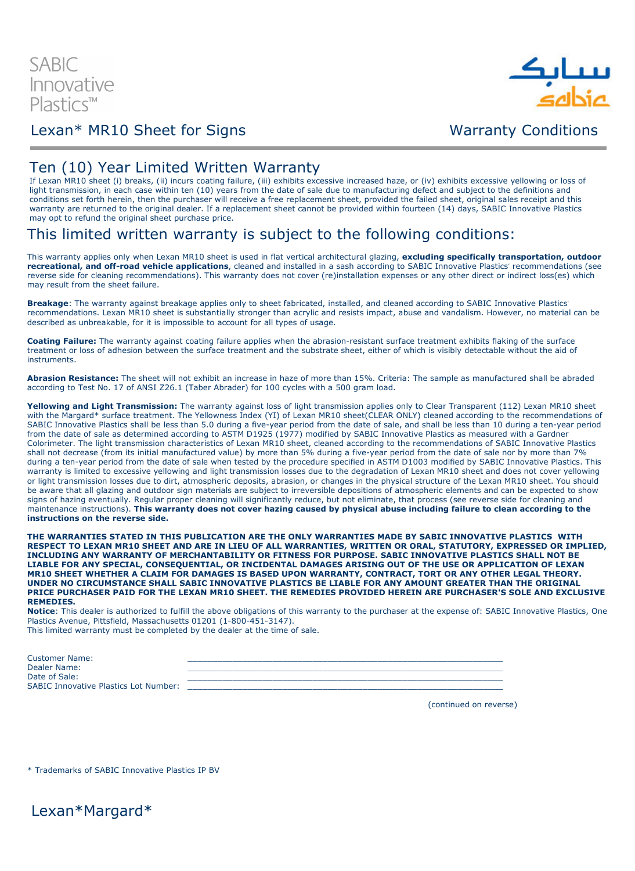

## Lexan\* MR10 Sheet for Signs Warranty Conditions

### Ten (10) Year Limited Written Warranty

If Lexan MR10 sheet (i) breaks, (ii) incurs coating failure, (iii) exhibits excessive increased haze, or (iv) exhibits excessive yellowing or loss of light transmission, in each case within ten (10) years from the date of sale due to manufacturing defect and subject to the definitions and conditions set forth herein, then the purchaser will receive a free replacement sheet, provided the failed sheet, original sales receipt and this warranty are returned to the original dealer. If a replacement sheet cannot be provided within fourteen (14) days, SABIC Innovative Plastics may opt to refund the original sheet purchase price.

## This limited written warranty is subject to the following conditions:

This warranty applies only when Lexan MR10 sheet is used in flat vertical architectural glazing, excluding specifically transportation, outdoor recreational, and off-road vehicle applications, cleaned and installed in a sash according to SABIC Innovative Plastics' recommendations (see reverse side for cleaning recommendations). This warranty does not cover (re)installation expenses or any other direct or indirect loss(es) which may result from the sheet failure.

Breakage: The warranty against breakage applies only to sheet fabricated, installed, and cleaned according to SABIC Innovative Plastics' recommendations. Lexan MR10 sheet is substantially stronger than acrylic and resists impact, abuse and vandalism. However, no material can be described as unbreakable, for it is impossible to account for all types of usage.

Coating Failure: The warranty against coating failure applies when the abrasion-resistant surface treatment exhibits flaking of the surface treatment or loss of adhesion between the surface treatment and the substrate sheet, either of which is visibly detectable without the aid of instruments.

Abrasion Resistance: The sheet will not exhibit an increase in haze of more than 15%. Criteria: The sample as manufactured shall be abraded according to Test No. 17 of ANSI Z26.1 (Taber Abrader) for 100 cycles with a 500 gram load.

Yellowing and Light Transmission: The warranty against loss of light transmission applies only to Clear Transparent (112) Lexan MR10 sheet with the Margard<sup>\*</sup> surface treatment. The Yellowness Index (YI) of Lexan MR10 sheet(CLEAR ONLY) cleaned according to the recommendations of SABIC Innovative Plastics shall be less than 5.0 during a five-year period from the date of sale, and shall be less than 10 during a ten-year period from the date of sale as determined according to ASTM D1925 (1977) modified by SABIC Innovative Plastics as measured with a Gardner Colorimeter. The light transmission characteristics of Lexan MR10 sheet, cleaned according to the recommendations of SABIC Innovative Plastics shall not decrease (from its initial manufactured value) by more than 5% during a five-year period from the date of sale nor by more than 7% during a ten-year period from the date of sale when tested by the procedure specified in ASTM D1003 modified by SABIC Innovative Plastics. This warranty is limited to excessive yellowing and light transmission losses due to the degradation of Lexan MR10 sheet and does not cover yellowing or light transmission losses due to dirt, atmospheric deposits, abrasion, or changes in the physical structure of the Lexan MR10 sheet. You should be aware that all glazing and outdoor sign materials are subject to irreversible depositions of atmospheric elements and can be expected to show signs of hazing eventually. Regular proper cleaning will significantly reduce, but not eliminate, that process (see reverse side for cleaning and maintenance instructions). This warranty does not cover hazing caused by physical abuse including failure to clean according to the instructions on the reverse side.

THE WARRANTIES STATED IN THIS PUBLICATION ARE THE ONLY WARRANTIES MADE BY SABIC INNOVATIVE PLASTICS WITH RESPECT TO LEXAN MR10 SHEET AND ARE IN LIEU OF ALL WARRANTIES, WRITTEN OR ORAL, STATUTORY, EXPRESSED OR IMPLIED, INCLUDING ANY WARRANTY OF MERCHANTABILITY OR FITNESS FOR PURPOSE. SABIC INNOVATIVE PLASTICS SHALL NOT BE LIABLE FOR ANY SPECIAL, CONSEQUENTIAL, OR INCIDENTAL DAMAGES ARISING OUT OF THE USE OR APPLICATION OF LEXAN MR10 SHEET WHETHER A CLAIM FOR DAMAGES IS BASED UPON WARRANTY, CONTRACT, TORT OR ANY OTHER LEGAL THEORY. UNDER NO CIRCUMSTANCE SHALL SABIC INNOVATIVE PLASTICS BE LIABLE FOR ANY AMOUNT GREATER THAN THE ORIGINAL PRICE PURCHASER PAID FOR THE LEXAN MR10 SHEET. THE REMEDIES PROVIDED HEREIN ARE PURCHASER'S SOLE AND EXCLUSIVE REMEDIES.

Notice: This dealer is authorized to fulfill the above obligations of this warranty to the purchaser at the expense of: SABIC Innovative Plastics, One Plastics Avenue, Pittsfield, Massachusetts 01201 (1-800-451-3147). This limited warranty must be completed by the dealer at the time of sale.

| <b>Customer Name:</b>                        |  |
|----------------------------------------------|--|
| Dealer Name:                                 |  |
| Date of Sale:                                |  |
| <b>SABIC Innovative Plastics Lot Number:</b> |  |

(continued on reverse)

\* Trademarks of SABIC Innovative Plastics IP BV